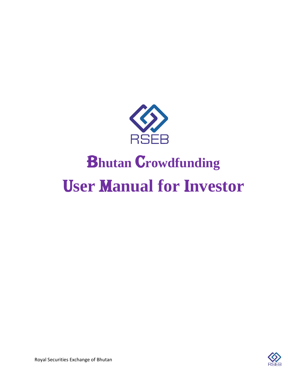

# U**ser** M**anual for** I**nvestor Bhutan Crowdfunding**

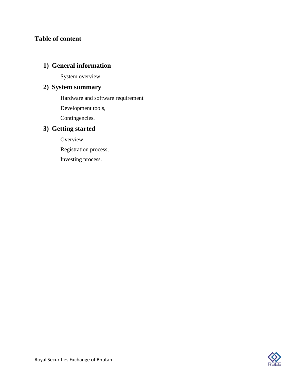# **Table of content**

# **1) General information**

System overview

# **2) System summary**

Hardware and software requirement

Development tools,

Contingencies.

# **3) Getting started**

Overview,

Registration process,

Investing process.

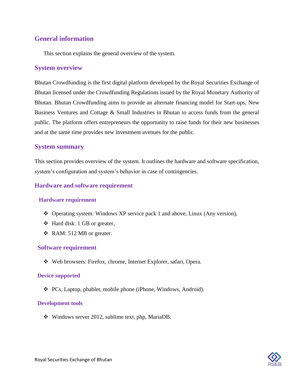# **General information**

This section explains the general overview of the system.

## **System overview**

Bhutan Crowdfunding is the first digital platform developed by the Royal Securities Exchange of Bhutan licensed under the Crowdfunding Regulations issued by the Royal Monetary Authority of Bhutan. Bhutan Crowdfunding aims to provide an alternate financing model for Start-ups, New Business Ventures and Cottage & Small Industries in Bhutan to access funds from the general public. The platform offers entrepreneurs the opportunity to raise funds for their new businesses and at the same time provides new investment avenues for the public.

## **System summary**

This section provides overview of the system. It outlines the hardware and software specification, system's configuration and system's behavior in case of contingencies.

## **Hardware and software requirement**

## **Hardware requirement**

- ❖ Operating system: Windows XP service pack 1 and above, Linux (Any version),
- ❖ Hard disk: 1 GB or greater,
- ❖ RAM: 512 MB or greater.

## **Software requirement**

❖ Web browsers: Firefox, chrome, Internet Explorer, safari, Opera.

#### **Device supported**

❖ PCs, Laptop, phablet, mobile phone (iPhone, Windows, Android).

#### **Development tools**

❖ Windows server 2012, sublime text, php, MariaDB.

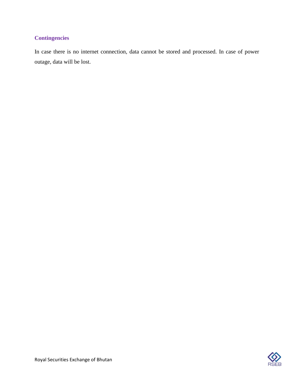# **Contingencies**

In case there is no internet connection, data cannot be stored and processed. In case of power outage, data will be lost.

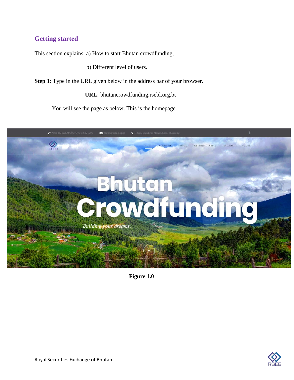# **Getting started**

This section explains: a) How to start Bhutan crowdfunding,

b) Different level of users.

**Step 1**: Type in the URL given below in the address bar of your browser.

**URL**: bhutancrowdfunding.rsebl.org.bt

You will see the page as below. This is the homepage.



**Figure 1.0**

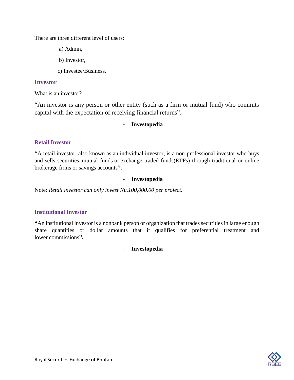There are three different level of users:

a) Admin,

- b) Investor,
- c) Investee/Business.

## **Investor**

What is an investor?

"An investor is any person or other entity (such as a firm or mutual fund) who commits capital with the expectation of receiving financial returns".

### - **Investopedia**

### **Retail Investor**

**"**A retail investor, also known as an individual investor, is a non-professional investor who buys and sells securities, [mutual funds](https://www.investopedia.com/terms/m/mutualfund.asp) or [exchange traded funds\(](https://www.investopedia.com/terms/e/etf.asp)ETFs) through traditional or online brokerage firms or savings accounts**".**

#### - **Investopedia**

Note: *Retail investor can only invest Nu.100,000.00 per project.*

## **Institutional Investor**

**"**An institutional investor is a nonbank person or organization that trades securities in large enough share quantities or dollar amounts that it qualifies for preferential treatment and lower [commissions](https://www.investopedia.com/terms/c/commission.asp)**".**

- **Investopedia**

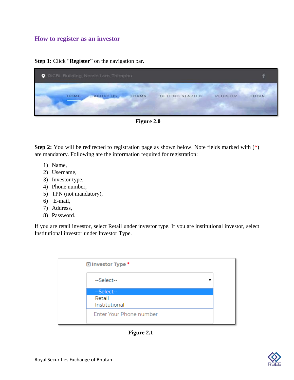## **How to register as an investor**

**Step 1:** Click "**Register**" on the navigation bar.

| $\bullet$ |      | RICBL Building, Norzin Lam, Thimphu |       |                 |                 |       |
|-----------|------|-------------------------------------|-------|-----------------|-----------------|-------|
|           | HOME | <b>ABOUT US</b>                     | FORMS | GETTING STARTED | <b>REGISTER</b> | LOGIN |

**Figure 2.0**

**Step 2:** You will be redirected to registration page as shown below. Note fields marked with (\*) are mandatory. Following are the information required for registration:

- 1) Name,
- 2) Username,
- 3) Investor type,
- 4) Phone number,
- 5) TPN (not mandatory),
- 6) E-mail,
- 7) Address,
- 8) Password.

If you are retail investor, select Retail under investor type. If you are institutional investor, select Institutional investor under Investor Type.

| <b>D</b> Investor Type * |  |
|--------------------------|--|
| --Select--               |  |
| --Select--               |  |
| Retail<br>Institutional  |  |
| Enter Your Phone number  |  |

**Figure 2.1**

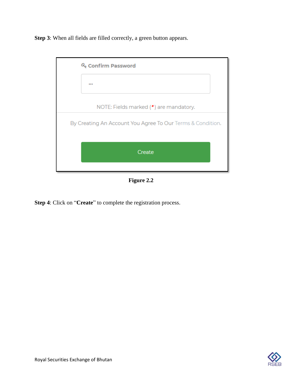**Step 3**: When all fields are filled correctly, a green button appears.

| Q <sub>s</sub> Confirm Password                            |  |
|------------------------------------------------------------|--|
|                                                            |  |
| NOTE: Fields marked (*) are mandatory.                     |  |
| By Creating An Account You Agree To Our Terms & Condition. |  |
| Create                                                     |  |
|                                                            |  |

**Figure 2.2**

**Step 4**: Click on "**Create**" to complete the registration process.

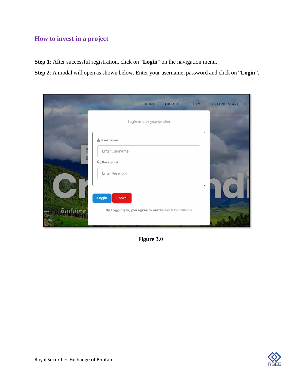# **How to invest in a project**

**Step 1**: After successful registration, click on "**Login**" on the navigation menu.

**Step 2**: A modal will open as shown below. Enter your username, password and click on "**Login**".

|          | FORMS<br>ABOUT US<br>HOME                          | GETTING STARTED |
|----------|----------------------------------------------------|-----------------|
|          | Login to start your session                        |                 |
|          | & Username                                         |                 |
|          | Enter Username<br>Q <sub>c</sub> Password          |                 |
|          | Enter Password                                     |                 |
|          | Login<br>Cancel                                    |                 |
| Building | By Logging In, you agree to our Terms & Conditions |                 |

**Figure 3.0**

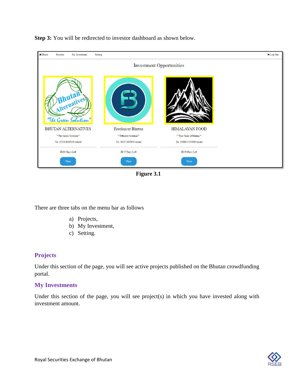

**Step 3:** You will be redirected to investor dashboard as shown below.

**Figure 3.1**

There are three tabs on the menu bar as follows

- a) Projects,
- b) My Investment,
- c) Setting.

## **Projects**

Under this section of the page, you will see active projects published on the Bhutan crowdfunding portal.

## **My Investments**

Under this section of the page, you will see project(s) in which you have invested along with investment amount.

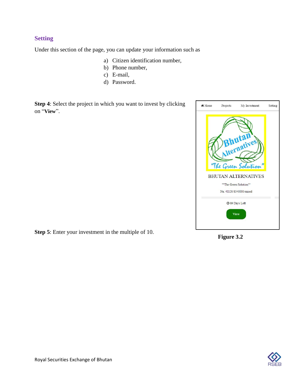## **Setting**

Under this section of the page, you can update your information such as

- a) Citizen identification number,
- b) Phone number,
- c) E-mail,
- d) Password.

**Step 4**: Select the project in which you want to invest by clicking on "**View**".



**Step 5**: Enter your investment in the multiple of 10.

**Figure 3.2**

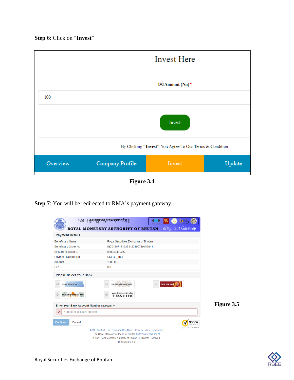**Step 6**: Click on "**Invest**"



**Figure 3.4**

**Step 7**: You will be redirected to RMA's payment gateway.

| <b>Payment Details</b>                                               | ePayment Gateway<br>ROYAL MONETARY AUTHORITY OF BHUTAN                                                                            |            |
|----------------------------------------------------------------------|-----------------------------------------------------------------------------------------------------------------------------------|------------|
| <b>Beneficiary Name</b>                                              | Royal Securities Exchange of Bhutan                                                                                               |            |
| <b>Beneficiary Order No</b>                                          | IN2019071915384120190719153841                                                                                                    |            |
| <b>BFS Transaction ID</b>                                            | 920000360057                                                                                                                      |            |
| <b>Payment Description</b>                                           | <b>RSEBL Test</b>                                                                                                                 |            |
| Amount                                                               | 100000                                                                                                                            |            |
| Fee                                                                  | 0.0                                                                                                                               |            |
| $\bigcap$<br><b>BANK OF BHUTAN</b><br><b>Bhutan Development Bank</b> | <b>DRUK PNB BANK</b><br>$\circ$<br><b>BHUTAN NATIONAL BANK</b><br>Veel 8159119519891<br>T BANK LTD                                |            |
| Enter Your Bank Account Number (mandatory)                           |                                                                                                                                   | Figure 3.5 |
| Your bank account number                                             |                                                                                                                                   |            |
| Continue<br>Cancel                                                   | lortor                                                                                                                            |            |
|                                                                      | powered by Symantec<br>  FAQ   Contact Us   Terms and Conditions   Privacy Policy   Disclaimer                                    |            |
|                                                                      |                                                                                                                                   |            |
|                                                                      | The Royal Monetary Authority of Bhutan   http://www.rma.org.bt<br>© The Royal Monetary Authority of Bhutan . All Rights Reserved. |            |

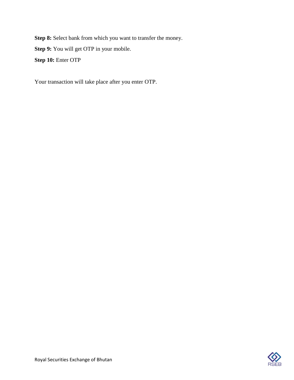**Step 8:** Select bank from which you want to transfer the money.

**Step 9:** You will get OTP in your mobile.

**Step 10:** Enter OTP

Your transaction will take place after you enter OTP.